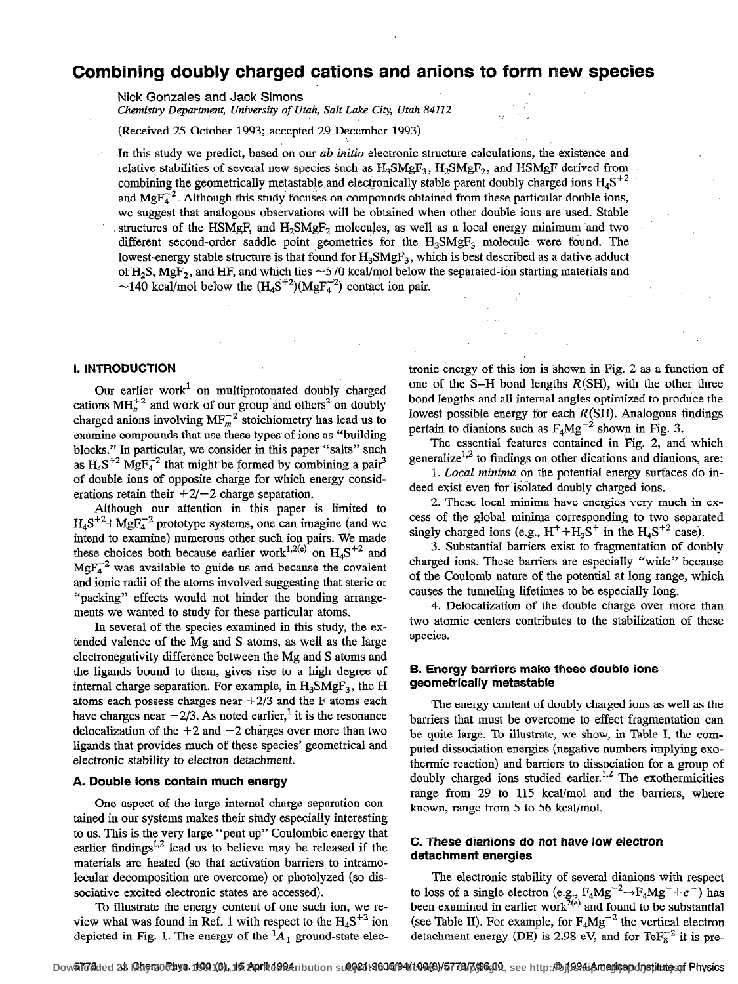# Combining doubly charged cations and anions to form new species

Nick Gonzales and Jack Simons

Chemistry Department, University of Utah, Salt Lake City, Utah 84112

(Received 25 October 1993; accepted 29 December 1993)

In this study we predict, based on our *ab initio* electronic structure calculations, the existence and relative stabilities of several new species such as  $H_3SMgF_3$ ,  $H_2SMgF_2$ , and HSMgF derived from combining the geometrically metastable and electronically stable parent doubly charged ions  $H_4S^{+2}$ and  $MgF<sub>4</sub><sup>-2</sup>$ . Although this study focuses on compounds obtained from these particular double ions, we suggest that analogous observations will be obtained when other double ions are used. Stable structures of the HSMgF, and  $H_2$ SMgF<sub>2</sub> molecules, as well as a local energy minimum and two different second-order saddle point geometries for the  $H_3S\text{MgF}_3$  molecule were found. The lowest-energy stable structure is that found for  $H_3S\text{MgF}_3$ , which is best described as a dative adduct of H<sub>2</sub>S, MgF<sub>2</sub>, and HF, and which lies  $\sim$  570 kcal/mol below the separated-ion starting materials and ~140 kcal/mol below the  $(H_4S^{+2})(MgF_4^{-2})$  contact ion pair.

#### 1. INTRODUCTION

Our earlier work<sup>1</sup> on multiprotonated doubly charged cations  $\text{MH}_n^{+2}$  and work of our group and others<sup>2</sup> on doubly charged anions involving  $MF_m^{-2}$  stoichiometry has lead us to examine compounds that use these types of ions as "building blocks." In particular, we consider in this paper "salts" such as  $H_4S^{+2}$  MgF<sub>4</sub><sup>2</sup> that might be formed by combining a pair<sup>3</sup> of double ions of opposite charge for which energy considerations retain their  $+2/-2$  charge separation.

Although our attention in this paper is limited to  $H_4S^{+2}+MgF_4^{-2}$  prototype systems, one can imagine (and we intend to examine) numerous other such ion pairs. We made these choices both because earlier work<sup>1,2(e)</sup> on  $H<sub>4</sub>S<sup>+2</sup>$  and  $MgF_4^{-2}$  was available to guide us and because the covalent and ionic radii of the atoms involved suggesting that steric or "packing" effects would not hinder the bonding arrangements we wanted to study for these particular atoms.

In several of the species examined in this study, the extended valence of the Mg and S atoms, as well as the large electronegativity difference between the Mg and S atoms and the ligands bound to them, gives rise to a high degree of internal charge separation. For example, in  $H_3$ SMgF<sub>3</sub>, the H atoms each possess charges near  $+2/3$  and the F atoms each have charges near  $-2/3$ . As noted earlier,<sup>1</sup> it is the resonance delocalization of the  $+2$  and  $-2$  charges over more than two ligands that provides much of these species' geometrical and electronic stability to electron detachment.

#### A. Double ions contain much energy

One aspect of the large internal charge separation contained in our systems makes their study especially interesting to us. This is the very large "pent up" Coulombic energy that earlier findings<sup> $1,2$ </sup> lead us to believe may be released if the materials are heated (so that activation barriers to intramolecular decomposition are overcome) or photolyzed (so dissociative excited electronic states are accessed).

To illustrate the energy content of one such ion, we review what was found in Ref. 1 with respect to the  $H_4S^{+2}$  ion depicted in Fig. 1. The energy of the  ${}^{1}A_{1}$  ground-state electronic energy of this ion is shown in Fig. 2 as a function of one of the S-H bond lengths  $R(SH)$ , with the other three bond lengths and all internal angles optimized to produce the lowest possible energy for each  $R(SH)$ . Analogous findings pertain to dianions such as  $F_4Mg^{-2}$  shown in Fig. 3.

 $q = \frac{1}{2} \sum_{i=1}^{n}$ 

The essential features contained in Fig. 2, and which generalize<sup>1,2</sup> to findings on other dications and dianions, are:

1. Local minima on the potential energy surfaces do indeed exist even for' isolated doubly charged ions.

2. These local minima have energies very much in excess of the global minima corresponding to two separated singly charged ions (e.g.,  $H^+ + H_3S^+$  in the  $H_4S^{+2}$  case).

3. Substantial barriers exist to fragmentation of doubly charged ions. These barriers are especially "wide" because of the Coulomb nature of the potential at long range, which causes the tunneling lifetimes to be especially long.

4. Delocalization of the double charge over more than two atomic centers contributes to the stabilization of these species.

### B. Energy barriers make these double ions geometrically metastable

The energy content of doubly charged ions as well as the barriers that must be overcome to effect fragmentation can be quite large. To illustrate, we show, in Table I, the computed dissociation energies (negative numbers implying exothermic reaction) and barriers to dissociation for a group of doubly charged ions studied earlier.<sup>1,2</sup> The exothermicities range from 29 to 115 kcal/mol and the barriers, where known, range from 5 to 56 kcal/mol.

## C. These dianions do not have low electron detachment energies

The electronic stability of several dianions with respect to loss of a single electron (e.g.,  $F_4Mg^{-2} \rightarrow F_4Mg^- + e^-$ ) has been examined in earlier work<sup> $2(e)$ </sup> and found to be substantial (see Table II). For example, for  $F_4Mg^{-2}$  the vertical electron detachment energy (DE) is 2.98 eV, and for Te $F_8^{-2}$  it is pre-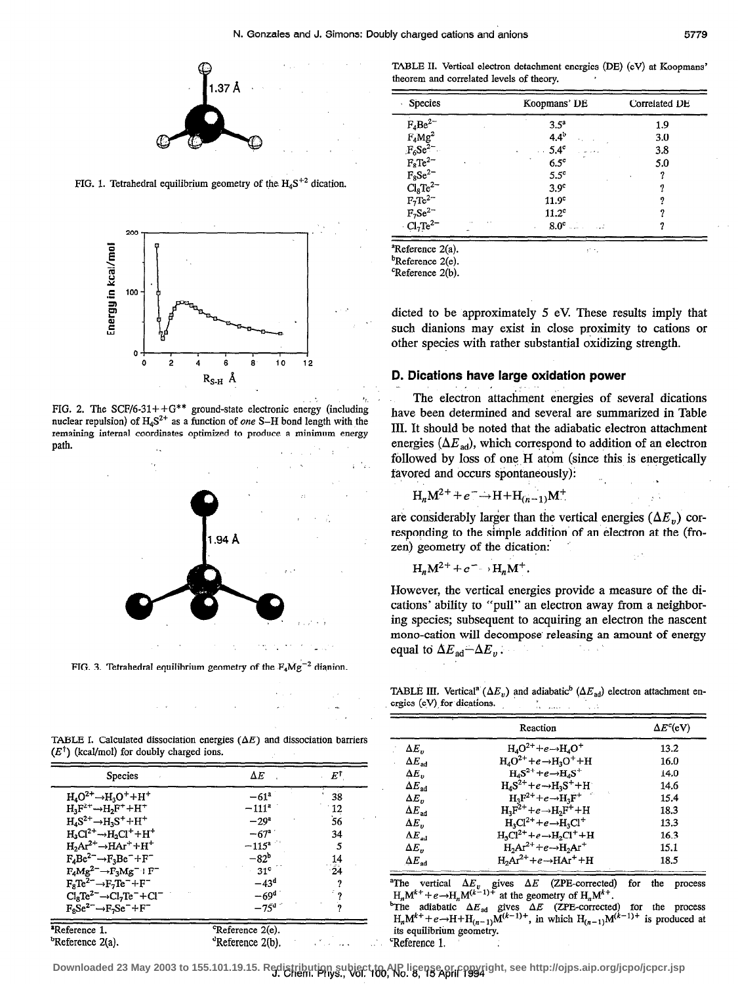

FIG. 1. Tetrahedral equilibrium geometry of the  $H_4S^{+2}$  dication.



FIG. 2. The SCF/6-31++G\*\* ground-state electronic energy (including nuclear repulsion) of  $H_4S^{2+}$  as a function of one S-H bond length with the remaining internal coordinates optimized to produce a minimum energy path.



FIG. 3. Tetrahedral equilibrium geometry of the  $F_4Mg^{-2}$  dianion.

|  |  | and the first control of the con-                                                                                  |  |
|--|--|--------------------------------------------------------------------------------------------------------------------|--|
|  |  | the second contract of the second contract of the second contract of the second contract of the second contract of |  |

TABLE I. Calculated dissociation energies  $(\Delta E)$  and dissociation barriers  $(E^{\dagger})$  (kcal/mol) for doubly charged ions.

| Species                                | $\Delta E$                   | $E^\dagger$                        |
|----------------------------------------|------------------------------|------------------------------------|
| $H_4O^{2+} \rightarrow H_3O^+ + H^+$   | $-61$ <sup>a</sup>           | 38                                 |
| $H_3F^{2+}\rightarrow H_2F^+ + H^+$    | $-111^a$                     |                                    |
| $H_4S^{2+} \rightarrow H_3S^+ + H^+$   | $-29^{\circ}$                | $\frac{12}{56}$                    |
| $H_3Cl^2^+ \rightarrow H_2Cl^+ + H^+$  | $-67^{\circ}$                | 34                                 |
| $H_2Ar^{2+}\rightarrow HAr^+ + H^+$    | $-115^a$                     | 5                                  |
| $F_4Be^2^- \rightarrow F_3Be^- + F^-$  | $-82b$                       | $\frac{1}{4}$                      |
| $F_4Mg^2^- \rightarrow F_3Mg^- + F^-$  | $-31$ °                      | $\overline{24}$                    |
| $F_8Te^{2-} \rightarrow F_7Te^- + F^-$ | $-43d$                       |                                    |
| $Cl8Te2- \rightarrow Cl7Te-+Cl-$       | $-69d$                       |                                    |
| $F_8Se^{2-} \rightarrow F_7Se^- + F^-$ | $-75^{\rm d}$                |                                    |
| <sup>a</sup> Reference 1.              | <sup>c</sup> Reference 2(e). |                                    |
| <sup>b</sup> Reference 2(a).           | <sup>d</sup> Reference 2(b). | $\sim$ $\sim$ $\sim$ $\sim$ $\sim$ |

TABLE II. Vertical electron detachment energies (DE) (eV) at Koopmans' theorem and correlated levels of theory.

| <b>Species</b>                                                                                                                                                                                                                                  | Koopmans' DE           | Correlated DE |  |  |
|-------------------------------------------------------------------------------------------------------------------------------------------------------------------------------------------------------------------------------------------------|------------------------|---------------|--|--|
|                                                                                                                                                                                                                                                 | 3.5 <sup>a</sup>       | 1.9           |  |  |
|                                                                                                                                                                                                                                                 | $4.4^{b}$              | 3.0           |  |  |
|                                                                                                                                                                                                                                                 | 5.4 <sup>c</sup><br>a. | 3.8           |  |  |
|                                                                                                                                                                                                                                                 | $6.5^\circ$            | 5.0           |  |  |
|                                                                                                                                                                                                                                                 | $5.5^{\circ}$          | 9             |  |  |
|                                                                                                                                                                                                                                                 | 3.9 <sup>c</sup>       |               |  |  |
|                                                                                                                                                                                                                                                 | 11.9 <sup>c</sup>      |               |  |  |
|                                                                                                                                                                                                                                                 | 11.2 <sup>c</sup>      |               |  |  |
| $\begin{array}{l} \hline \\ \text{F}_4\text{Be}^2 \\ \text{F}_4\text{Mg}^2 \\ \text{F}_6\text{Se}^2 \\ \text{F}_8\text{Te}^2 \\ \text{F}_8\text{Se}^2 \\ \text{CI}_8\text{Te}^2 \\ \text{F}_7\text{Se}^2 \\ \text{CI}_7\text{Te}^2 \end{array}$ | $8.0^{\circ}$          |               |  |  |

<sup>a</sup>Reference 2(a).

<sup>b</sup>Reference 2(e).

<sup>c</sup>Reference 2(b).

dicted to be approximately 5 eV. These results imply that such dianions may exist in close proximity to cations or other species with rather substantial oxidizing strength.

# D. Dications have large oxidation power

The electron attachment energies of several dications have been determined and several are summarized in Table III. It should be noted that the adiabatic electron attachment energies ( $\Delta E_{ad}$ ), which correspond to addition of an electron followed by loss of one H atom (since this is energetically favored and occurs spontaneously):

$$
H_nM^{2+} + e^- \rightarrow H + H_{(n-1)}M^+
$$

are considerably larger than the vertical energies  $(\Delta E_v)$  corresponding to the simple addition of an electron at the (frozen) geometry of the dication:

$$
H_nM^{2+}+e^- \rightarrow H_nM^+.
$$

However, the vertical energies provide a measure of the dications' ability to "pull" an electron away from a neighboring species; subsequent to acquiring an electron the nascent mono-cation will decompose releasing an amount of energy equal to  $\Delta E_{\text{ad}} - \Delta E_v$ .

TABLE III. Vertical<sup>a</sup> ( $\Delta E_v$ ) and adiabatic<sup>b</sup> ( $\Delta E_{ad}$ ) electron attachment energies (eV) for dications. ia<br>Tra il solo di

|                        | Reaction                                                    | $\Delta E^c$ (eV) |
|------------------------|-------------------------------------------------------------|-------------------|
| $\Delta E_n$           | $H_4O^{2+}+e\rightarrow H_4O^+$                             | 13.2              |
| $\Delta E_{ad}$        | $H_4O^{2+}+e \rightarrow H_3O^+ + H$                        | 16.0              |
| $\Delta E_n$           | $H_4S^2$ <sup>+</sup> + e $\rightarrow$ $H_4S^+$            | 14.0              |
| $\Delta E_{\rm ad}$    | $H_4S^{2+}+e \rightarrow H_3S^+ + H^-$                      | 14.6              |
| $\Delta E_n$           | $H_3F^2$ <sup>+</sup> + e $\rightarrow$ $H_3F^+$            | 15.4              |
| $\Delta E_{\rm ad}$    | $H_3F^{2+}+e \rightarrow H_2F^+ + H$                        | 18.3              |
| $\Delta E_n$           | $H_3Cl^2^+$ +e $\rightarrow$ H <sub>3</sub> Cl <sup>+</sup> | 13.3              |
| $\Delta E_{\rm ad}$    | $H_3Cl^2^+ + e \rightarrow H_2Cl^+ + H$                     | 16.3              |
| $\Delta E_n$           | $H_2Ar^{2+}+e \rightarrow H_2Ar^+$                          | 15.1              |
| $\Delta E_{\text{ad}}$ | $H_2Ar^{2+}+e \rightarrow HAr^+ + H$                        | 18.5              |

<sup>a</sup>The vertical  $\Delta E_v$  gives  $\Delta E$  (ZPE-corrected)<br>  $H_n M^{k+} + e \rightarrow H_n M^{(k-1)+}$  at the geometry of  $H_n M^{k+}$ . for the process

The adiabatic  $\Delta E_{ad}$  gives  $\Delta E$  (ZPE-corrected) for the process  $H_nM^{k+} + e \rightarrow H + H_{(n-1)}M^{(k-1)+}$ , in which  $H_{(n-1)}M^{(k-1)+}$  is produced at its equilibrium geometry. <sup>c</sup>Reference 1.

Downloaded 23 May 2003 to 155.101.19.15. Redistribution subject to AIP license or convright, see http://ojps.aip.org/jcpo/jcpcr.jsp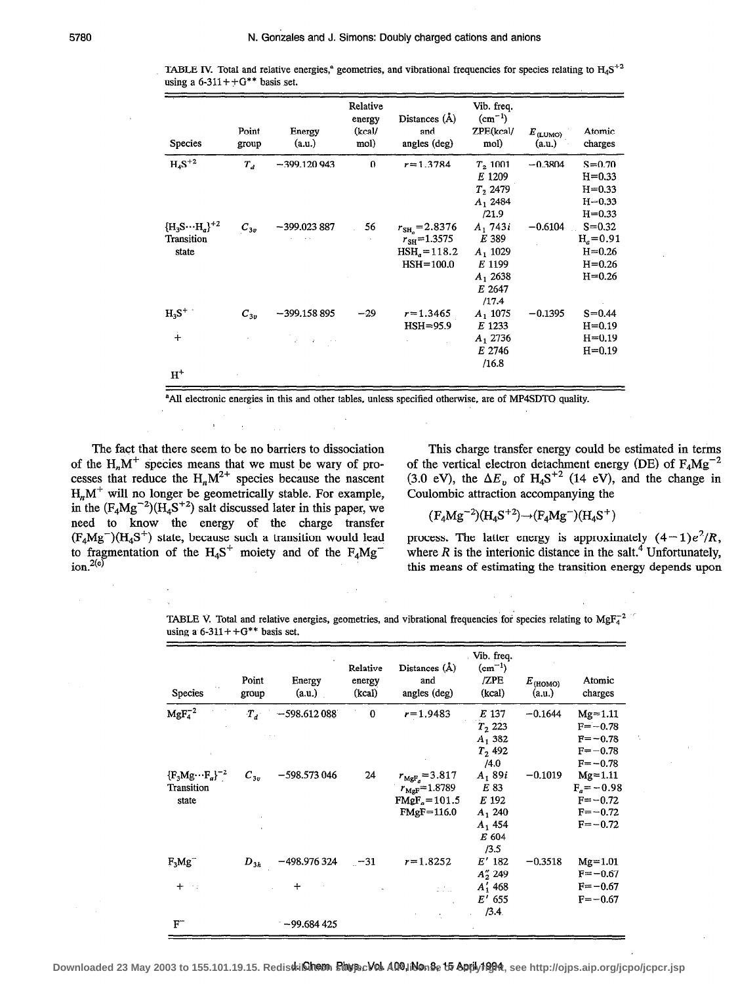| Species                                         | Point<br>group | Energy<br>(a.u.) | Relative<br>energy<br>(kcal)<br>mol) | Distances (Å)<br>and<br>angles (deg)                                         | Vib. freq.<br>$(cm^{-1})$<br>ZPE(kcal/<br>mol)                               | $E_{\text{(LUMO)}}$<br>(a.u.) | Atomic<br>charges                                                  |
|-------------------------------------------------|----------------|------------------|--------------------------------------|------------------------------------------------------------------------------|------------------------------------------------------------------------------|-------------------------------|--------------------------------------------------------------------|
| $H_4S^{+2}$                                     | $T_{d}$        | $-399.120943$    | 0                                    | $r = 1.3784$                                                                 | $T_2$ 1001<br>E 1209<br>$T_2$ 2479<br>$A_1$ 2484<br>/21.9                    | $-0.3804$                     | $S = 0.70$<br>$H = 0.33$<br>$H = 0.33$<br>$H = 0.33$<br>$H = 0.33$ |
| ${H_3S\cdots H_a\}^{+2}$<br>Transition<br>state | $C_{3v}$       | $-399.023887$    | 56                                   | $r_{\rm SH_2}=2.8376$<br>$r_{\rm SH}$ =1.3575<br>$HSHa=118.2$<br>$HSH=100.0$ | $A_1$ 743i<br>E 389<br>$A_1$ 1029<br>E 1199<br>$A_1$ 2638<br>E 2647<br>/17.4 | $-0.6104$                     | $S = 0.32$<br>$Ha=0.91$<br>$H = 0.26$<br>$H = 0.26$<br>$H = 0.26$  |
| $\mathrm{H_3S}^+$                               | $C_{3v}$       | $-399.158895$    | $-29$                                | $r = 1.3465$<br>$HSH = 95.9$                                                 | $A_1$ 1075<br>E 1233                                                         | $-0.1395$                     | $S = 0.44$<br>$H = 0.19$                                           |
| $+$<br>$H^+$                                    |                |                  |                                      |                                                                              | $A_1$ 2736<br>E 2746<br>/16.8                                                |                               | $H = 0.19$<br>$H = 0.19$                                           |

TABLE IV. Total and relative energies,<sup>a</sup> geometries, and vibrational frequencies for species relating to  $H_4S^{+2}$ using a  $6-311++G**$  basis set.

'AI1 electronic energies in this and other tables, unless specified otherwise, are of MP4SDTQ quality.

The fact that there seem to be no barriers to dissociation of the  $H_nM^+$  species means that we must be wary of processes that reduce the  $H_nM^{2+}$  species because the nascent  $H_nM^+$  will no longer be geometrically stable. For example, in the  $(F_4Mg^{-2})(H_4S^{+2})$  salt discussed later in this paper, we need to know the energy of the charge transfer  $(F_4Mg^-)(H_4S^+)$  state, because such a transition would lead to fragmentation of the  $H_4S^+$  moiety and of the  $F_4Mg^ \frac{1}{2}$ ion<sup>2(e)</sup>

This charge transfer energy could be estimated in terms of the vertical electron detachment energy (DE) of  $F_4Mg^{-2}$ (3.0 eV), the  $\Delta E_v$  of H<sub>4</sub>S<sup>+2</sup> (14 eV), and the change in Coulombic attraction accompanying the

$$
(F_4Mg^{-2})(H_4S^{+2}) \rightarrow (F_4Mg^{-})(H_4S^{+})
$$

process. The latter energy is approximately  $(4-1)e^2/R$ , where  $R$  is the interionic distance in the salt.<sup>4</sup> Unfortunately, this means of estimating the transition energy depends upon

TABLE V. Total and relative energies, geometries, and vibrational frequencies for species relating to MgF $_4^{-2}$ using a  $6-311++G**$  basis set.

| Species                                         | Point<br>group | Energy<br>(a.u.) | Relative<br>energy<br>(kcal) | Distances (Å)<br>and<br>angles (deg)                                                       | Vib. freq.<br>$(cm^{-1})$<br>/ZPE<br>(kcal)                           | $E_{\text{(HOMO)}}$<br>(a.u.) | Atomic<br>charges                                                         |
|-------------------------------------------------|----------------|------------------|------------------------------|--------------------------------------------------------------------------------------------|-----------------------------------------------------------------------|-------------------------------|---------------------------------------------------------------------------|
| $MgF_4^{-2}$                                    | $T_A$          | $-598.612088$    | $\bf{0}$                     | $r = 1.9483$                                                                               | E 137<br>$T_2$ 223<br>$A_1$ 382<br>$T_2$ 492<br>/4.0                  | $-0.1644$                     | $Mg = 1.11$<br>$F = -0.78$<br>$F = -0.78$<br>$F = -0.78$<br>$F = -0.78$   |
| ${F_3Mg\cdots F_a}^{-2}$<br>Transition<br>state | $C_{3v}$       | $-598.573046$    | 24                           | $r_{\text{MgF}_{a}} = 3.817$<br>$r_{\text{MgF}} = 1.8789$<br>$FMgFo=101.5$<br>$FMgF=116.0$ | $A_1 89i$<br>E 83<br>E 192<br>$A_1$ 240<br>$A_1$ 454<br>E 604<br>/3.5 | $-0.1019$                     | $Mg = 1.11$<br>$F_a = -0.98$<br>$F = -0.72$<br>$F = -0.72$<br>$F = -0.72$ |
| $F_3Mg^-$                                       | $D_{3h}$       | $-498.976324$    | $-31$                        | $r = 1.8252$                                                                               | $E'$ 182<br>$A''_2$ 249                                               | $-0.3518$                     | $Mg = 1.01$<br>$F = -0.67$                                                |
| $+$<br>$\sim$ 1                                 |                | $\div$           |                              | 2. Kol                                                                                     | $A'_1$ 468<br>$E'$ 655<br>/3.4                                        |                               | $F = -0.67$<br>$F = -0.67$                                                |
| $F^-$                                           |                | $-99.684425$     |                              |                                                                                            |                                                                       |                               |                                                                           |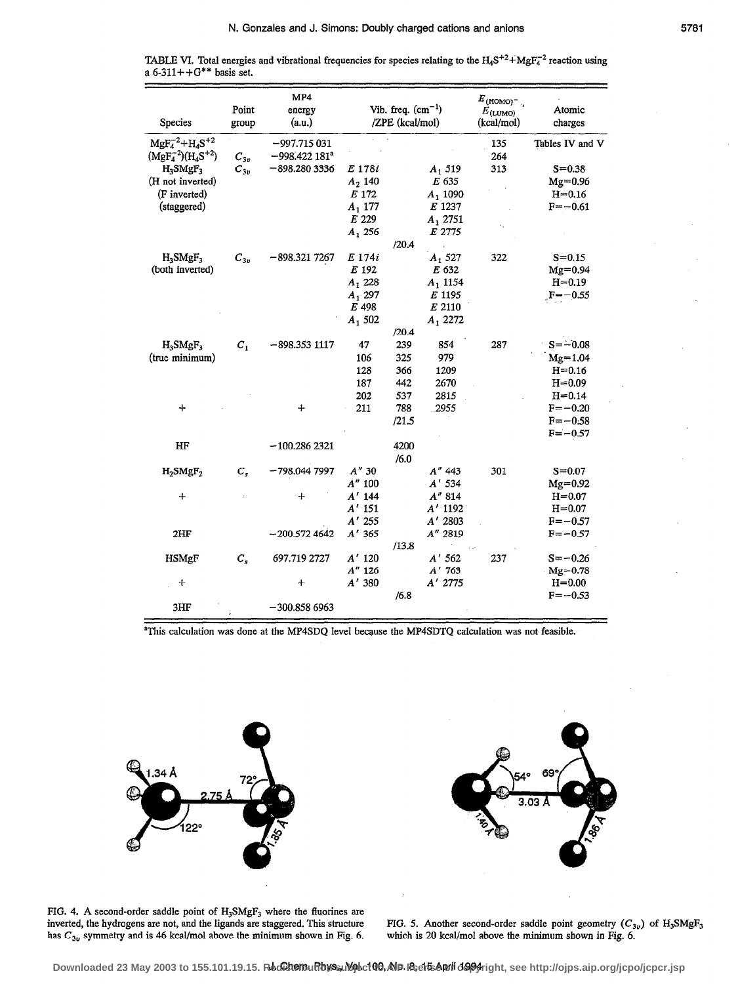| <b>Species</b>                              | MP4<br>Point<br>energy<br>(a.u.)<br>group |                                  | Vib. freq. $(cm-1)$<br>/ZPE (kcal/mol) |       |              | $E_{(\text{HOMO})^-}$ .<br>$E_{(\text{LUMO})}$<br>(kcal/mol) | Atomic<br>charges |  |
|---------------------------------------------|-------------------------------------------|----------------------------------|----------------------------------------|-------|--------------|--------------------------------------------------------------|-------------------|--|
| $MgF_4^{-2}+H_4S^{+2}$<br>$(MgF4-2)(H4S+2)$ | $C_{3n}$                                  | $-997.715031$<br>$-998.422181^a$ |                                        |       |              | 135<br>264                                                   | Tables IV and V   |  |
| H <sub>3</sub> SMgF <sub>3</sub>            | $C_{3v}$                                  | $-898.2803336$                   | E 178i                                 |       | $A_1$ 519    | 313                                                          | $S = 0.38$        |  |
| (H not inverted)                            |                                           |                                  | $A_2$ 140                              |       | E 635        |                                                              | $Mg = 0.96$       |  |
| (F inverted)                                |                                           |                                  | E 172                                  |       | $A_1$ 1090   |                                                              | $H = 0.16$        |  |
| (staggered)                                 |                                           |                                  | $A_1$ 177                              |       | E 1237       |                                                              | $F = -0.61$       |  |
|                                             |                                           |                                  | E 229                                  |       | $A_1$ 2751   |                                                              |                   |  |
|                                             |                                           |                                  | $A_1$ 256                              |       | E 2775       |                                                              |                   |  |
|                                             |                                           |                                  |                                        | /20.4 |              |                                                              |                   |  |
| $H_3$ SMg $F_3$                             | $\boldsymbol{C}_{3v}$                     | $-898.3217267$                   | E 174i                                 |       | $A_1$ 527    | 322                                                          | $S = 0.15$        |  |
| (both inverted)                             |                                           |                                  | E 192                                  |       | E 632        |                                                              | $Mg=0.94$         |  |
|                                             |                                           |                                  | $A_1$ , 228                            |       | $A_1$ , 1154 |                                                              | $H = 0.19$        |  |
|                                             |                                           |                                  | $A_1$ 297                              |       | E 1195       |                                                              | $F = -0.55$       |  |
|                                             |                                           |                                  | E 498                                  |       | E 2110       |                                                              |                   |  |
|                                             |                                           |                                  | $A_1 502$                              |       | $A_1$ 2272   |                                                              |                   |  |
|                                             |                                           |                                  |                                        | /20.4 |              |                                                              |                   |  |
| $H_3SMgF_3$                                 | $C_1$                                     | $-898.3531117$                   | 47                                     | 239   | 854          | 287                                                          | $S = -0.08$       |  |
| (true minimum)                              |                                           |                                  | 106                                    | 325   | 979          |                                                              | $Mg = 1.04$       |  |
|                                             |                                           |                                  | 128                                    | 366   | 1209         |                                                              | $H = 0.16$        |  |
|                                             |                                           |                                  | 187                                    | 442   | 2670         |                                                              | $H = 0.09$        |  |
|                                             |                                           |                                  | 202                                    | 537   | 2815         |                                                              | $H = 0.14$        |  |
| ┿                                           |                                           | $\div$                           | 211                                    | 788   | .2955        |                                                              | $F = -0.20$       |  |
|                                             |                                           |                                  |                                        | /21.5 |              |                                                              | $F = -0.58$       |  |
|                                             |                                           |                                  |                                        |       |              |                                                              | $F = -0.57$       |  |
| HF                                          |                                           | $-100.2862321$                   |                                        | 4200  |              |                                                              |                   |  |
|                                             |                                           |                                  |                                        | /6.0  |              |                                                              |                   |  |
| $H_2$ SMg $F_2$                             | $C_{s}$                                   | $-798.0447997$                   | $A''$ 30                               |       | A" 443       | 301                                                          | $S = 0.07$        |  |
|                                             |                                           |                                  | $A^{\prime\prime}$ 100                 |       | A' 534       |                                                              | $Mg = 0.92$       |  |
| +                                           | ź                                         | $\div$                           | $A'$ 144                               |       | A'' 814      |                                                              | $H = 0.07$        |  |
|                                             |                                           |                                  | $A'$ 151                               |       | $A'$ 1192    |                                                              | $H = 0.07$        |  |
|                                             |                                           |                                  | $A'$ 255                               |       | A' 2803      |                                                              | $F = -0.57$       |  |
| 2HF                                         |                                           | $-200.5724642$                   | $A'$ 365                               |       | A" 2819      |                                                              | $F = -0.57$       |  |
|                                             |                                           |                                  |                                        | /13.8 |              |                                                              |                   |  |
| <b>HSMgF</b>                                | $C_{s}$                                   | 697.719 2727                     | $A'$ 120                               |       | $A'$ 562     | 237                                                          | $S = -0.26$       |  |
|                                             |                                           |                                  | $A''$ 126                              |       | $A'$ 763     |                                                              | $Mg = 0.78$       |  |
| $\div$                                      |                                           | $+$                              | $A'$ 380                               |       | A' 2775      |                                                              | $H = 0.00$        |  |
|                                             |                                           |                                  |                                        | /6.8  |              |                                                              | $F = -0.53$       |  |
| 3HF                                         |                                           | $-300.8586963$                   |                                        |       |              |                                                              |                   |  |

TABLE VI. Total energies and vibrational frequencies for species relating to the  $H_4S^{+2} + MgF_4^{-2}$  reaction using a 6-311++G<sup>\*\*</sup> basis set.

<sup>a</sup>This calculation was done at the MP4SDQ level because the MP4SDTQ calculation was not feasible.



FIG. 4. A second-order saddle point of H<sub>3</sub>SMgF<sub>3</sub> where the fluorines are inverted, the hydrogens are not, and the ligands are staggered. This structure has  $C_{3v}$  symmetry and is 46 kcal/mol above the minimum shown in Fig. 6.



FIG. 5. Another second-order saddle point geometry  $(C_{3v})$  of  $H_3SMgF_3$  which is 20 kcal/mol above the minimum shown in Fig. 6.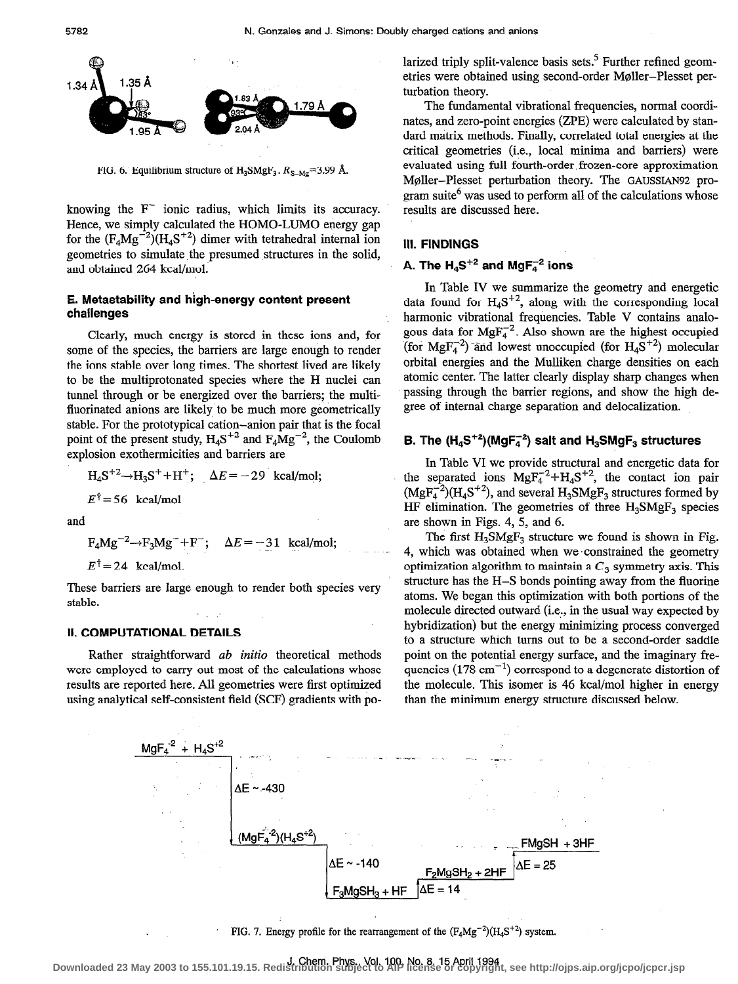

FIG. 6. Equilibrium structure of  $H_3SMgF_3$ .  $R_{S-Mg}=3.99$  Å.

knowing the  $F^-$  ionic radius, which limits its accuracy. Hence, we simply calculated the HOMO-LUMO energy gap for the  $(F_4Mg^{-2})(H_4S^{+2})$  dimer with tetrahedral internal ion geometries to simulate the presumed structures in the solid, and obtained 264 kcal/mol.

## E. Metastability and high-energy content present challenges

Clearly, much energy is stored in these ions and, for some of the species, the barriers are large enough to render the ions stable over long times. The shortest lived are likely to be the multiprotonated species where the H nuclei can tunnel through or be energized over the barriers; the multifluorinated anions are likely to be much more geometrically stable. For the prototypical cation-anion pair that is the focal point of the present study,  $H_4S^{+2}$  and  $F_4Mg^{-2}$ , the Coulomb explosion exothermicities and barriers are

$$
H_4S^{+2} \rightarrow H_3S^+ + H^+; \quad \Delta E = -29 \text{ kcal/mol};
$$

 $E^{\dagger}$  = 56 kcal/mol

and

$$
F_4Mg^{-2} \rightarrow F_3Mg^{-} + F^{-}; \quad \Delta E = -31 \text{ kcal/mol};
$$

 $E^{\dagger}$  = 24 kcal/mol.

These barriers are large enough to render both species very stable.

# II. COMPUTATIONAL DETAILS

Rather straightforward *ab initio* theoretical methods were employed to carry out most of the calculations whose results are reported here. All geometries were first optimized using analytical self-consistent field (SCF) gradients with polarized triply split-valence basis sets.<sup>5</sup> Further refined geometries were obtained using second-order Moller-Plesset perturbation theory.

The fundamental vibrational frequencies, normal coordinates, and zero-point energies (ZPE) were calculated by standard matrix methods. Finally, correlated total energies at the critical geometries (i.e., local minima and barriers) were evaluated using full fourth-order, frozen-core approximation Moller-Plesset perturbation theory. The GAUSSIAN92 program suite $<sup>6</sup>$  was used to perform all of the calculations whose</sup> results are discussed here.

#### Ill. FINDINGS

# A. The  $H_4S^{+2}$  and  $MgF_4^{-2}$  ions

In Table IV we summarize the geometry and energetic data found for  $H_4S^{+2}$ , along with the corresponding local harmonic vibrational frequencies. Table V contains analogous data for  $MgF_4^{-2}$ . Also shown are the highest occupied (for MgF<sub>4</sub><sup>2</sup>) and lowest unoccupied (for H<sub>4</sub>S<sup>+2</sup>) molecular orbital energies and the Mulliken charge densities on each atomic center. The latter clearly display sharp changes when passing through the barrier regions, and show the high degree of internal charge separation and delocalization.

# B. The  $(H_4S^{+2})$ (MgF $_4^2$ ) salt and  $H_3$ SMgF<sub>3</sub> structures

In Table VI we provide structural and energetic data for the separated ions  $MgF_4^{-2}+H_4S^{+2}$ , the contact ion pair  $(MgF<sub>4</sub><sup>-2</sup>)(H<sub>4</sub>S<sup>+2</sup>)$ , and several  $H<sub>3</sub>SMgF<sub>3</sub>$  structures formed by HF elimination. The geometries of three  $H_3$ SMg $F_3$  species are shown in Figs. 4, 5, and 6.

The first  $H_3SMgF_3$  structure we found is shown in Fig. 4, which was obtained when we 'constrained the geometry optimization algorithm to maintain a  $C_3$  symmetry axis. This structure has the H-S bonds pointing away from the fluorine atoms. We began this optimization with both portions of the molecule directed outward (i.e,, in the usual way expected by hybridization) but the energy minimizing process converged to a structure which turns out to be a second-order saddle point on the potential energy surface, and the imaginary frequencies  $(178 \text{ cm}^{-1})$  correspond to a degenerate distortion of the molecule. This isomer is 46 kcal/mol higher in energy than the minimum energy structure discussed below.



FIG. 7. Energy profile for the rearrangement of the  $(F_4Mg^{-2})(H_4S^{+2})$  system.

J. Chem. Phys., Vol. 100, No. 8, 15 April 1994 **Downloaded 23 May 2003 to 155.101.19.15. Redistribution subject to AIP license or copyright, see http://ojps.aip.org/jcpo/jcpcr.jsp**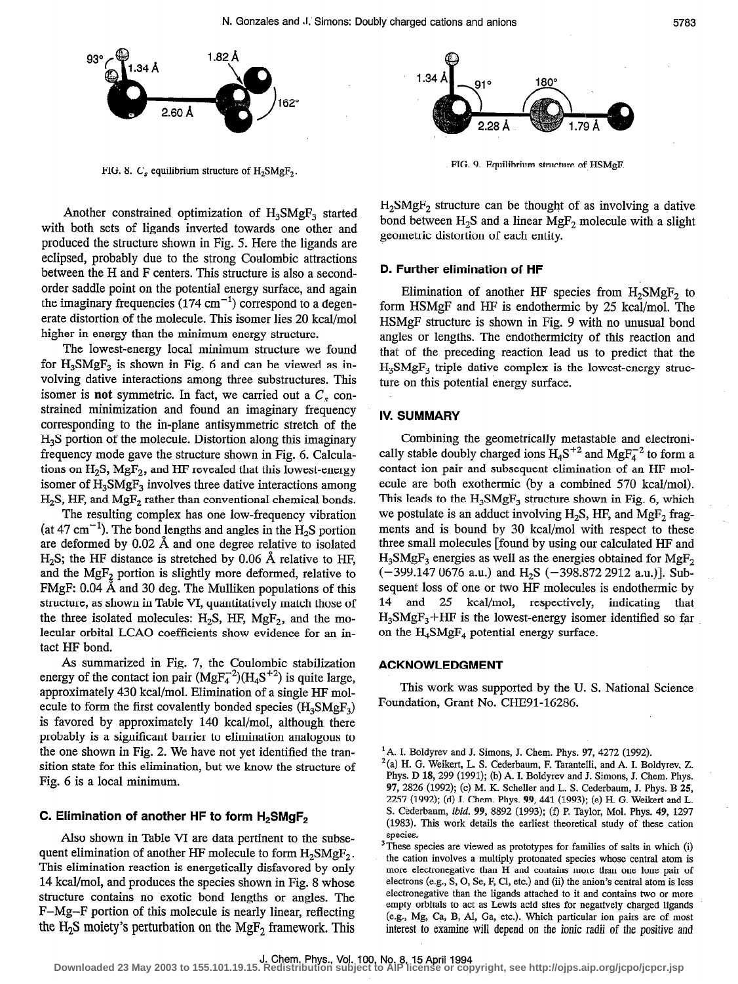

FIG. 8.  $C_s$  equilibrium structure of H<sub>2</sub>SMgF<sub>2</sub>.

Another constrained optimization of  $H_2SMgF_2$  started with both sets of ligands inverted towards one other and produced the structure shown in Fig. 5. Here the ligands are eclipsed, probably due to the strong Coulombic attractions between the H and F centers. This structure is also a secondorder saddle point on the potential energy surface, and again the imaginary frequencies  $(174 \text{ cm}^{-1})$  correspond to a degenerate distortion of the molecule. This isomer lies 20 kcal/mol higher in energy than the minimum energy structure.

The lowest-energy local minimum structure we found for  $H_3S\text{MgF}_3$  is shown in Fig. 6 and can be viewed as involving dative interactions among three substructures. This isomer is not symmetric. In fact, we carried out a  $C_s$  constrained minimization and found an imaginary frequency corresponding to the in-plane antisymmetric stretch of the  $H<sub>3</sub>S$  portion of the molecule. Distortion along this imaginary frequency mode gave the structure shown in Fig. 6. Calculations on  $H_2S$ ,  $MgF_2$ , and HF revealed that this lowest-energy isomer of  $H_3SMgF_3$  involves three dative interactions among  $H<sub>2</sub>S$ , HF, and  $MgF<sub>2</sub>$  rather than conventional chemical bonds.

The resulting complex has one low-frequency vibration (at 47 cm<sup>-1</sup>). The bond lengths and angles in the H<sub>2</sub>S portion are deformed by 0.02 A and one degree relative to isolated  $H_2S$ ; the HF distance is stretched by 0.06 Å relative to HF, and the  $MgF_2$  portion is slightly more deformed, relative to FMgF:  $0.04$  Å and 30 deg. The Mulliken populations of this structure, as shown in Table VI, quantitatively match those of the three isolated molecules:  $H_2S$ , HF,  $MgF_2$ , and the molecular orbital LCAO coefficients show evidence for an intact HF bond.

As summarized in Fig. 7, the Coulombic stabilization energy of the contact ion pair  $(MgF<sub>4</sub><sup>-2</sup>)(H<sub>4</sub>S<sup>+2</sup>)$  is quite large, approximately 430 kcal/mol. Elimination of a single HF molecule to form the first covalently bonded species  $(H_3SMgF_3)$ is favored by approximately 140 kcal/mol, although there probably is a significant barrier to elimination analogous to the one shown in Fig. 2. We have not yet identified the transition state for this elimination, but we know the structure of Fig. 6 is a local minimum.

### C. Elimination of another HF to form  $H_2$ SMgF<sub>2</sub>

Also shown in Table VI are data pertinent to the subsequent elimination of another HF molecule to form  $H_2SMgF_2$ . This elimination reaction is energetically disfavored by only 14 kcal/mol, and produces the species shown in Fig. 8 whose structure contains no exotic bond lengths or angles. The F-Mg-F portion of this molecule is nearly linear, reflecting the  $H_2S$  moiety's perturbation on the MgF<sub>2</sub> framework. This



FIG. 9. Equilibrium structure of HSMgF.

 $H_2$ SMgF<sub>2</sub> structure can be thought of as involving a dative bond between  $H_2S$  and a linear  $MgF_2$  molecule with a slight geometric distortion of each entity.

#### D. Further elimination of HF

Elimination of another HF species from  $H_2SMgF_2$  to form HSMgF and HF is endothermic by 25 kcal/mol. The HSMgF structure is shown in Fig. 9 with no unusual bond angles or lengths. The endothermicity of this reaction and that of the preceding reaction lead us to predict that the  $H_3$ SMgF<sub>3</sub> triple dative complex is the lowest-energy structure on this potential energy surface.

# IV. SUMMARY

Combining the geometrically metastable and electronically stable doubly charged ions  $H_4S^{+2}$  and  $MgF_4^{-2}$  to form a contact ion pair and subsequent elimination of an HF molecule are both exothermic (by a combined 570 kcal/mol). This leads to the  $H_3SMgF_3$  structure shown in Fig. 6, which we postulate is an adduct involving  $H_2S$ , HF, and MgF<sub>2</sub> fragments and is bound by 30 kcal/mol with respect to these three small molecules [found by using our calculated HF and  $H_3S\text{MgF}_3$  energies as well as the energies obtained for  $\text{MgF}_2$  $(-399.147 0676 \text{ a.u.})$  and H<sub>2</sub>S  $(-398.872 2912 \text{ a.u.})$ ]. Subsequent loss of one or two HF molecules is endothermic by 14 and 25 kcal/mol, respectively, indicating that  $H_3$ SMgF<sub>3</sub>+HF is the lowest-energy isomer identified so far on the  $H_4$ SMgF<sub>4</sub> potential energy surface.

#### ACKNOWLEDGMENT

This work was supported by the U. S. National Science Foundation, Grant No. CHE91-16286.

<sup>&</sup>lt;sup>1</sup>A. I. Boldyrev and J. Simons, J. Chem. Phys. 97, 4272 (1992).

 $^{2}$ (a) H. G. Weikert, L. S. Cederbaum, F. Tarantelli, and A. I. Boldyrev, Z. Phys. D 18, 299 (1991); (b) A. I. Boldyrev and J. Simons, J. Chem. Phys. 97, 2826 (1992); (c) M. K. Scheller and L. S. Cederbaum, J. Phys. B 25, 2257 (1992); (d) J. Chem. Phys. 99,441 (1993); (e) H. G. Weikert and L. S. Cederbaum, ibid. 99, 8892 (1993); (f) P. Taylor, Mol. Phys. 49, 1297 (1983). This work details the earliest theoretical study of these cation species.

 $3\text{-}$ These species are viewed as prototypes for families of salts in which (i) the cation involves a multiply protonated species whose central atom is more electronegative than H and contains more than one lone pair of electrons (e.g., S, 0, Se, F, Cl, etc.) and (ii) the anion's central atom is less electronegative than the ligands attached to it and contains two or more empty orbitals to act as Lewis acid sites for negatively charged ligands (e.g., Mg, Ca, B, AI, Ga, etc.).. Which particular ion pairs are of most interest to examine will depend on the ionic radii of the positive and